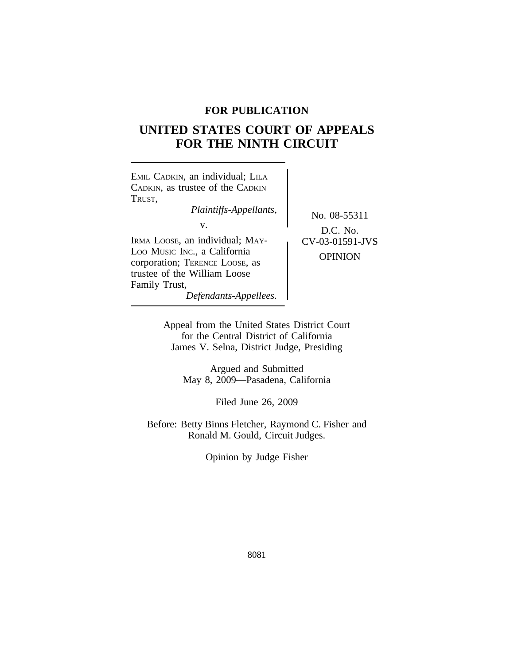## **FOR PUBLICATION**

# **UNITED STATES COURT OF APPEALS FOR THE NINTH CIRCUIT**



Appeal from the United States District Court for the Central District of California James V. Selna, District Judge, Presiding

> Argued and Submitted May 8, 2009—Pasadena, California

> > Filed June 26, 2009

Before: Betty Binns Fletcher, Raymond C. Fisher and Ronald M. Gould, Circuit Judges.

Opinion by Judge Fisher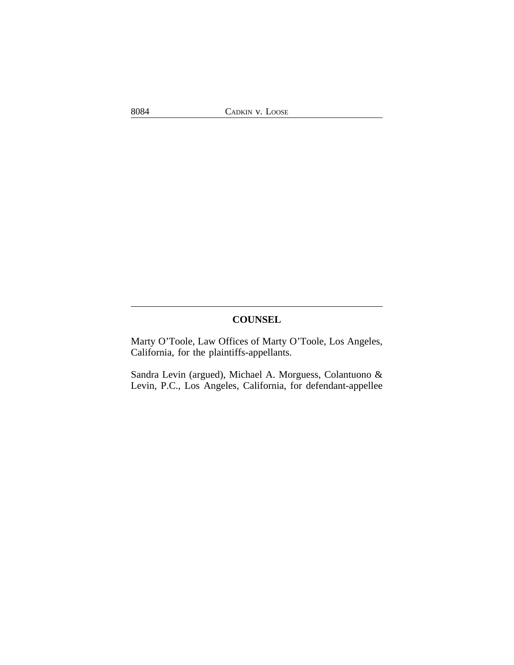8084 CADKIN v. LOOSE

## **COUNSEL**

Marty O'Toole, Law Offices of Marty O'Toole, Los Angeles, California, for the plaintiffs-appellants.

Sandra Levin (argued), Michael A. Morguess, Colantuono & Levin, P.C., Los Angeles, California, for defendant-appellee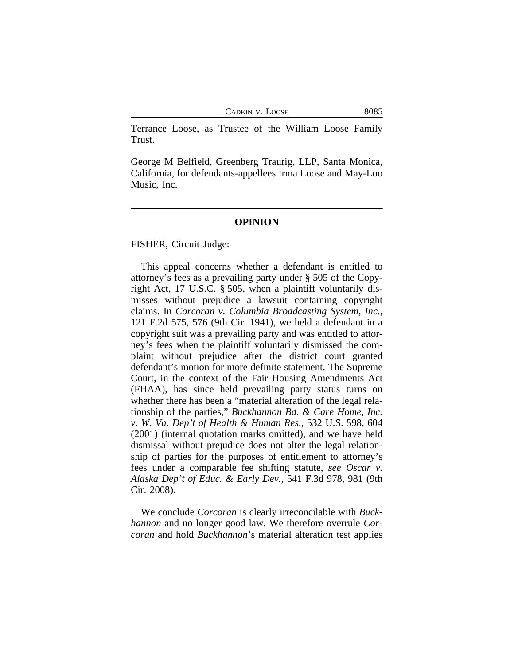CADKIN V. LOOSE 8085

Terrance Loose, as Trustee of the William Loose Family Trust.

George M Belfield, Greenberg Traurig, LLP, Santa Monica, California, for defendants-appellees Irma Loose and May-Loo Music, Inc.

#### **OPINION**

FISHER, Circuit Judge:

This appeal concerns whether a defendant is entitled to attorney's fees as a prevailing party under § 505 of the Copyright Act, 17 U.S.C. § 505, when a plaintiff voluntarily dismisses without prejudice a lawsuit containing copyright claims. In *Corcoran v. Columbia Broadcasting System, Inc.*, 121 F.2d 575, 576 (9th Cir. 1941), we held a defendant in a copyright suit was a prevailing party and was entitled to attorney's fees when the plaintiff voluntarily dismissed the complaint without prejudice after the district court granted defendant's motion for more definite statement. The Supreme Court, in the context of the Fair Housing Amendments Act (FHAA), has since held prevailing party status turns on whether there has been a "material alteration of the legal relationship of the parties," *Buckhannon Bd. & Care Home, Inc. v. W. Va. Dep't of Health & Human Res.*, 532 U.S. 598, 604 (2001) (internal quotation marks omitted), and we have held dismissal without prejudice does not alter the legal relationship of parties for the purposes of entitlement to attorney's fees under a comparable fee shifting statute, *see Oscar v. Alaska Dep't of Educ. & Early Dev.*, 541 F.3d 978, 981 (9th Cir. 2008).

We conclude *Corcoran* is clearly irreconcilable with *Buckhannon* and no longer good law. We therefore overrule *Corcoran* and hold *Buckhannon*'s material alteration test applies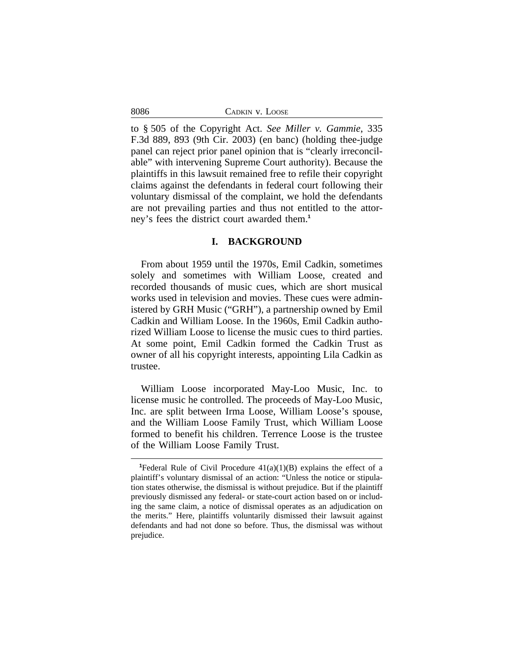8086

to § 505 of the Copyright Act. *See Miller v. Gammie*, 335 F.3d 889, 893 (9th Cir. 2003) (en banc) (holding thee-judge panel can reject prior panel opinion that is "clearly irreconcilable" with intervening Supreme Court authority). Because the plaintiffs in this lawsuit remained free to refile their copyright claims against the defendants in federal court following their voluntary dismissal of the complaint, we hold the defendants are not prevailing parties and thus not entitled to the attorney's fees the district court awarded them.**<sup>1</sup>**

#### **I. BACKGROUND**

From about 1959 until the 1970s, Emil Cadkin, sometimes solely and sometimes with William Loose, created and recorded thousands of music cues, which are short musical works used in television and movies. These cues were administered by GRH Music ("GRH"), a partnership owned by Emil Cadkin and William Loose. In the 1960s, Emil Cadkin authorized William Loose to license the music cues to third parties. At some point, Emil Cadkin formed the Cadkin Trust as owner of all his copyright interests, appointing Lila Cadkin as trustee.

William Loose incorporated May-Loo Music, Inc. to license music he controlled. The proceeds of May-Loo Music, Inc. are split between Irma Loose, William Loose's spouse, and the William Loose Family Trust, which William Loose formed to benefit his children. Terrence Loose is the trustee of the William Loose Family Trust.

<sup>&</sup>lt;sup>1</sup>Federal Rule of Civil Procedure  $41(a)(1)(B)$  explains the effect of a plaintiff's voluntary dismissal of an action: "Unless the notice or stipulation states otherwise, the dismissal is without prejudice. But if the plaintiff previously dismissed any federal- or state-court action based on or including the same claim, a notice of dismissal operates as an adjudication on the merits." Here, plaintiffs voluntarily dismissed their lawsuit against defendants and had not done so before. Thus, the dismissal was without prejudice.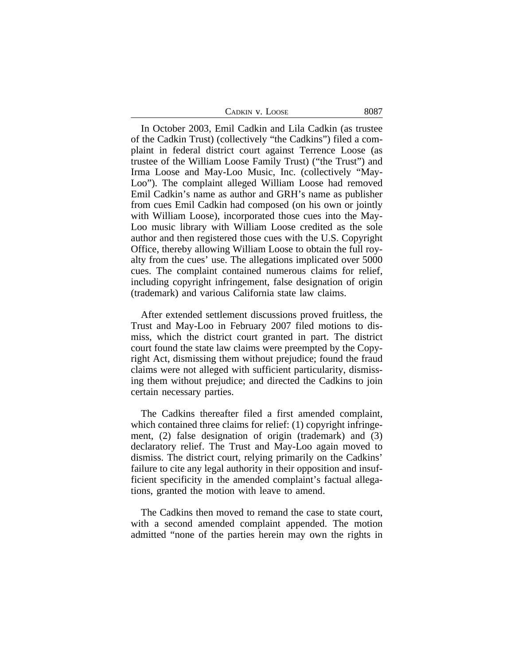| CADKIN V. LOOSE | 8087 |
|-----------------|------|
|-----------------|------|

In October 2003, Emil Cadkin and Lila Cadkin (as trustee of the Cadkin Trust) (collectively "the Cadkins") filed a complaint in federal district court against Terrence Loose (as trustee of the William Loose Family Trust) ("the Trust") and Irma Loose and May-Loo Music, Inc. (collectively "May-Loo"). The complaint alleged William Loose had removed Emil Cadkin's name as author and GRH's name as publisher from cues Emil Cadkin had composed (on his own or jointly with William Loose), incorporated those cues into the May-Loo music library with William Loose credited as the sole author and then registered those cues with the U.S. Copyright Office, thereby allowing William Loose to obtain the full royalty from the cues' use. The allegations implicated over 5000 cues. The complaint contained numerous claims for relief, including copyright infringement, false designation of origin (trademark) and various California state law claims.

After extended settlement discussions proved fruitless, the Trust and May-Loo in February 2007 filed motions to dismiss, which the district court granted in part. The district court found the state law claims were preempted by the Copyright Act, dismissing them without prejudice; found the fraud claims were not alleged with sufficient particularity, dismissing them without prejudice; and directed the Cadkins to join certain necessary parties.

The Cadkins thereafter filed a first amended complaint, which contained three claims for relief: (1) copyright infringement, (2) false designation of origin (trademark) and (3) declaratory relief. The Trust and May-Loo again moved to dismiss. The district court, relying primarily on the Cadkins' failure to cite any legal authority in their opposition and insufficient specificity in the amended complaint's factual allegations, granted the motion with leave to amend.

The Cadkins then moved to remand the case to state court, with a second amended complaint appended. The motion admitted "none of the parties herein may own the rights in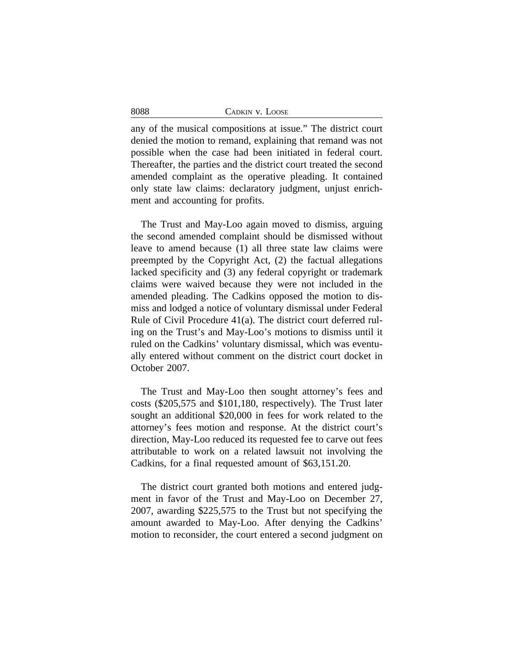| 8088 | CADKIN V. LOOSE |
|------|-----------------|
|------|-----------------|

any of the musical compositions at issue." The district court denied the motion to remand, explaining that remand was not possible when the case had been initiated in federal court. Thereafter, the parties and the district court treated the second amended complaint as the operative pleading. It contained only state law claims: declaratory judgment, unjust enrichment and accounting for profits.

The Trust and May-Loo again moved to dismiss, arguing the second amended complaint should be dismissed without leave to amend because (1) all three state law claims were preempted by the Copyright Act, (2) the factual allegations lacked specificity and (3) any federal copyright or trademark claims were waived because they were not included in the amended pleading. The Cadkins opposed the motion to dismiss and lodged a notice of voluntary dismissal under Federal Rule of Civil Procedure 41(a). The district court deferred ruling on the Trust's and May-Loo's motions to dismiss until it ruled on the Cadkins' voluntary dismissal, which was eventually entered without comment on the district court docket in October 2007.

The Trust and May-Loo then sought attorney's fees and costs (\$205,575 and \$101,180, respectively). The Trust later sought an additional \$20,000 in fees for work related to the attorney's fees motion and response. At the district court's direction, May-Loo reduced its requested fee to carve out fees attributable to work on a related lawsuit not involving the Cadkins, for a final requested amount of \$63,151.20.

The district court granted both motions and entered judgment in favor of the Trust and May-Loo on December 27, 2007, awarding \$225,575 to the Trust but not specifying the amount awarded to May-Loo. After denying the Cadkins' motion to reconsider, the court entered a second judgment on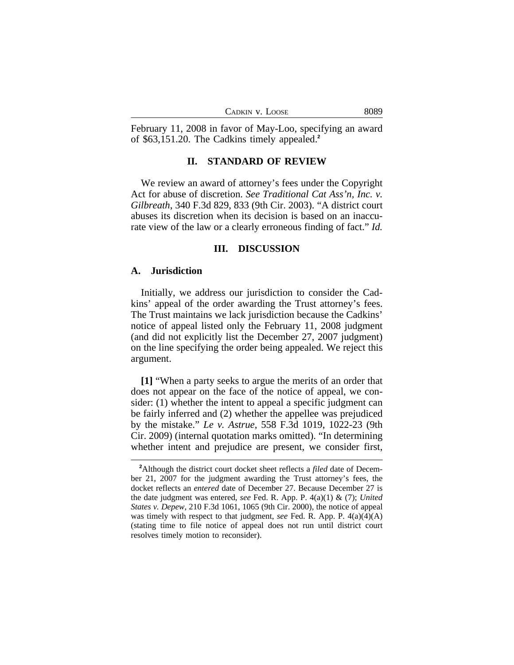| CADKIN V. LOOSE | 8089 |
|-----------------|------|
|-----------------|------|

February 11, 2008 in favor of May-Loo, specifying an award of \$63,151.20. The Cadkins timely appealed.**<sup>2</sup>**

#### **II. STANDARD OF REVIEW**

We review an award of attorney's fees under the Copyright Act for abuse of discretion. *See Traditional Cat Ass'n, Inc. v. Gilbreath*, 340 F.3d 829, 833 (9th Cir. 2003). "A district court abuses its discretion when its decision is based on an inaccurate view of the law or a clearly erroneous finding of fact." *Id.*

#### **III. DISCUSSION**

#### **A. Jurisdiction**

Initially, we address our jurisdiction to consider the Cadkins' appeal of the order awarding the Trust attorney's fees. The Trust maintains we lack jurisdiction because the Cadkins' notice of appeal listed only the February 11, 2008 judgment (and did not explicitly list the December 27, 2007 judgment) on the line specifying the order being appealed. We reject this argument.

**[1]** "When a party seeks to argue the merits of an order that does not appear on the face of the notice of appeal, we consider: (1) whether the intent to appeal a specific judgment can be fairly inferred and (2) whether the appellee was prejudiced by the mistake." *Le v. Astrue*, 558 F.3d 1019, 1022-23 (9th Cir. 2009) (internal quotation marks omitted). "In determining whether intent and prejudice are present, we consider first,

**<sup>2</sup>**Although the district court docket sheet reflects a *filed* date of December 21, 2007 for the judgment awarding the Trust attorney's fees, the docket reflects an *entered* date of December 27. Because December 27 is the date judgment was entered, *see* Fed. R. App. P. 4(a)(1) & (7); *United States v. Depew*, 210 F.3d 1061, 1065 (9th Cir. 2000), the notice of appeal was timely with respect to that judgment, *see* Fed. R. App. P. 4(a)(4)(A) (stating time to file notice of appeal does not run until district court resolves timely motion to reconsider).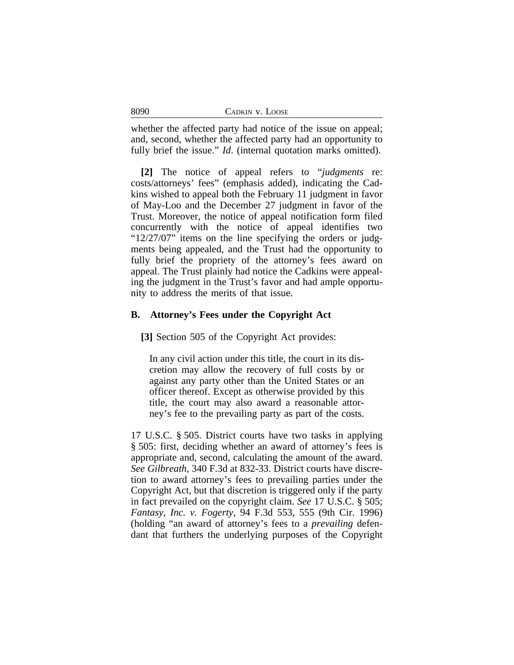whether the affected party had notice of the issue on appeal; and, second, whether the affected party had an opportunity to fully brief the issue." *Id.* (internal quotation marks omitted).

**[2]** The notice of appeal refers to "*judgments* re: costs/attorneys' fees" (emphasis added), indicating the Cadkins wished to appeal both the February 11 judgment in favor of May-Loo and the December 27 judgment in favor of the Trust. Moreover, the notice of appeal notification form filed concurrently with the notice of appeal identifies two "12/27/07" items on the line specifying the orders or judgments being appealed, and the Trust had the opportunity to fully brief the propriety of the attorney's fees award on appeal. The Trust plainly had notice the Cadkins were appealing the judgment in the Trust's favor and had ample opportunity to address the merits of that issue.

## **B. Attorney's Fees under the Copyright Act**

**[3]** Section 505 of the Copyright Act provides:

In any civil action under this title, the court in its discretion may allow the recovery of full costs by or against any party other than the United States or an officer thereof. Except as otherwise provided by this title, the court may also award a reasonable attorney's fee to the prevailing party as part of the costs.

17 U.S.C. § 505. District courts have two tasks in applying § 505: first, deciding whether an award of attorney's fees is appropriate and, second, calculating the amount of the award. *See Gilbreath*, 340 F.3d at 832-33. District courts have discretion to award attorney's fees to prevailing parties under the Copyright Act, but that discretion is triggered only if the party in fact prevailed on the copyright claim. *See* 17 U.S.C. § 505; *Fantasy, Inc. v. Fogerty*, 94 F.3d 553, 555 (9th Cir. 1996) (holding "an award of attorney's fees to a *prevailing* defendant that furthers the underlying purposes of the Copyright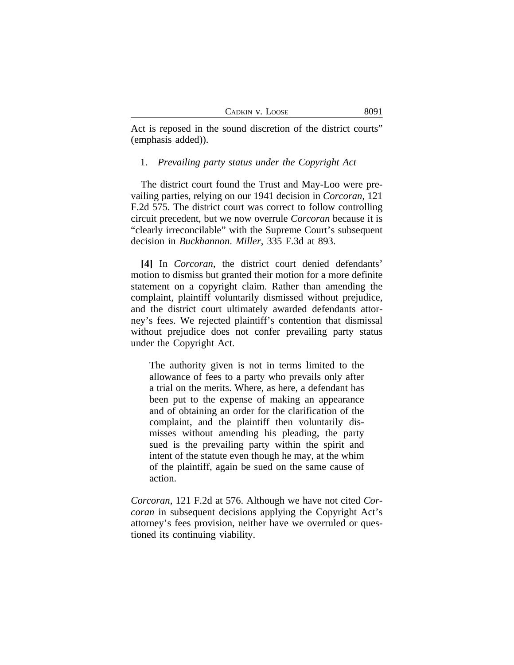Act is reposed in the sound discretion of the district courts" (emphasis added)).

#### 1. *Prevailing party status under the Copyright Act*

The district court found the Trust and May-Loo were prevailing parties, relying on our 1941 decision in *Corcoran*, 121 F.2d 575. The district court was correct to follow controlling circuit precedent, but we now overrule *Corcoran* because it is "clearly irreconcilable" with the Supreme Court's subsequent decision in *Buckhannon*. *Miller*, 335 F.3d at 893.

**[4]** In *Corcoran*, the district court denied defendants' motion to dismiss but granted their motion for a more definite statement on a copyright claim. Rather than amending the complaint, plaintiff voluntarily dismissed without prejudice, and the district court ultimately awarded defendants attorney's fees. We rejected plaintiff's contention that dismissal without prejudice does not confer prevailing party status under the Copyright Act.

The authority given is not in terms limited to the allowance of fees to a party who prevails only after a trial on the merits. Where, as here, a defendant has been put to the expense of making an appearance and of obtaining an order for the clarification of the complaint, and the plaintiff then voluntarily dismisses without amending his pleading, the party sued is the prevailing party within the spirit and intent of the statute even though he may, at the whim of the plaintiff, again be sued on the same cause of action.

*Corcoran*, 121 F.2d at 576. Although we have not cited *Corcoran* in subsequent decisions applying the Copyright Act's attorney's fees provision, neither have we overruled or questioned its continuing viability.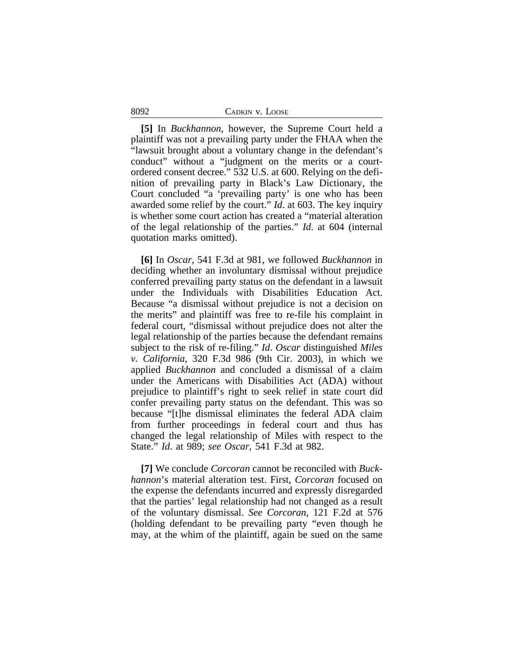**[5]** In *Buckhannon*, however, the Supreme Court held a plaintiff was not a prevailing party under the FHAA when the "lawsuit brought about a voluntary change in the defendant's conduct" without a "judgment on the merits or a courtordered consent decree." 532 U.S. at 600. Relying on the definition of prevailing party in Black's Law Dictionary, the Court concluded "a 'prevailing party' is one who has been awarded some relief by the court." *Id*. at 603. The key inquiry is whether some court action has created a "material alteration of the legal relationship of the parties." *Id*. at 604 (internal quotation marks omitted).

**[6]** In *Oscar*, 541 F.3d at 981, we followed *Buckhannon* in deciding whether an involuntary dismissal without prejudice conferred prevailing party status on the defendant in a lawsuit under the Individuals with Disabilities Education Act. Because "a dismissal without prejudice is not a decision on the merits" and plaintiff was free to re-file his complaint in federal court, "dismissal without prejudice does not alter the legal relationship of the parties because the defendant remains subject to the risk of re-filing." *Id*. *Oscar* distinguished *Miles v. California*, 320 F.3d 986 (9th Cir. 2003), in which we applied *Buckhannon* and concluded a dismissal of a claim under the Americans with Disabilities Act (ADA) without prejudice to plaintiff's right to seek relief in state court did confer prevailing party status on the defendant. This was so because "[t]he dismissal eliminates the federal ADA claim from further proceedings in federal court and thus has changed the legal relationship of Miles with respect to the State." *Id*. at 989; *see Oscar*, 541 F.3d at 982.

**[7]** We conclude *Corcoran* cannot be reconciled with *Buckhannon*'s material alteration test. First, *Corcoran* focused on the expense the defendants incurred and expressly disregarded that the parties' legal relationship had not changed as a result of the voluntary dismissal. *See Corcoran*, 121 F.2d at 576 (holding defendant to be prevailing party "even though he may, at the whim of the plaintiff, again be sued on the same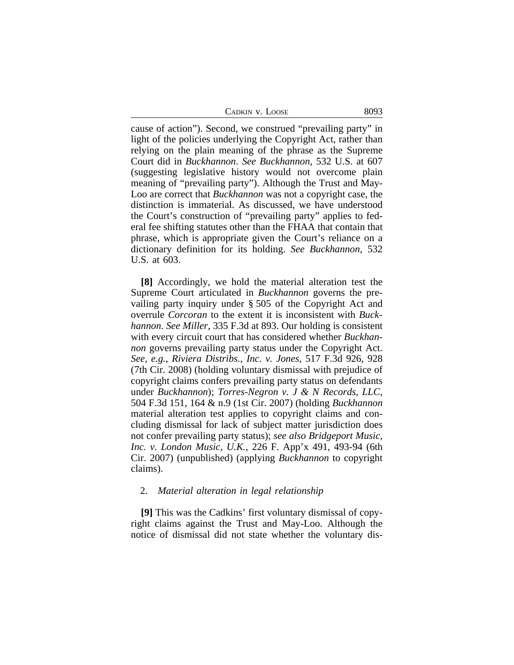CADKIN V. LOOSE 8093

cause of action"). Second, we construed "prevailing party" in light of the policies underlying the Copyright Act, rather than relying on the plain meaning of the phrase as the Supreme Court did in *Buckhannon*. *See Buckhannon*, 532 U.S. at 607 (suggesting legislative history would not overcome plain meaning of "prevailing party"). Although the Trust and May-Loo are correct that *Buckhannon* was not a copyright case, the distinction is immaterial. As discussed, we have understood the Court's construction of "prevailing party" applies to federal fee shifting statutes other than the FHAA that contain that phrase, which is appropriate given the Court's reliance on a dictionary definition for its holding. *See Buckhannon*, 532 U.S. at 603.

**[8]** Accordingly, we hold the material alteration test the Supreme Court articulated in *Buckhannon* governs the prevailing party inquiry under § 505 of the Copyright Act and overrule *Corcoran* to the extent it is inconsistent with *Buckhannon*. *See Miller*, 335 F.3d at 893. Our holding is consistent with every circuit court that has considered whether *Buckhannon* governs prevailing party status under the Copyright Act. *See, e.g.*, *Riviera Distribs., Inc. v. Jones*, 517 F.3d 926, 928 (7th Cir. 2008) (holding voluntary dismissal with prejudice of copyright claims confers prevailing party status on defendants under *Buckhannon*); *Torres-Negron v. J & N Records, LLC*, 504 F.3d 151, 164 & n.9 (1st Cir. 2007) (holding *Buckhannon* material alteration test applies to copyright claims and concluding dismissal for lack of subject matter jurisdiction does not confer prevailing party status); *see also Bridgeport Music, Inc. v. London Music, U.K.*, 226 F. App'x 491, 493-94 (6th Cir. 2007) (unpublished) (applying *Buckhannon* to copyright claims).

#### 2. *Material alteration in legal relationship*

**[9]** This was the Cadkins' first voluntary dismissal of copyright claims against the Trust and May-Loo. Although the notice of dismissal did not state whether the voluntary dis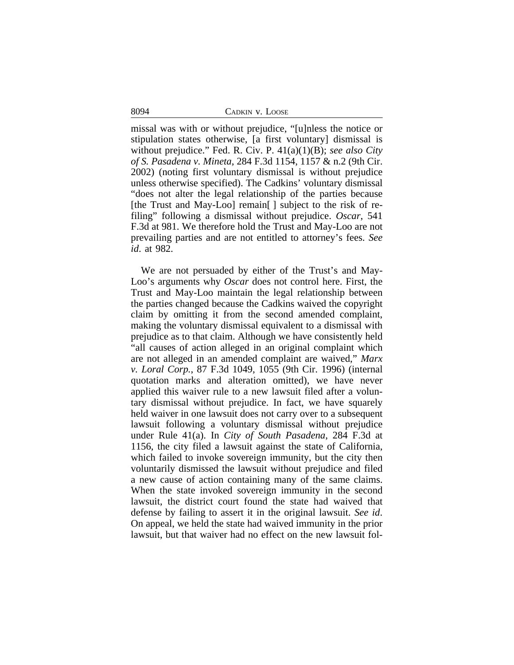8094 CADKIN v. LOOSE

missal was with or without prejudice, "[u]nless the notice or stipulation states otherwise, [a first voluntary] dismissal is without prejudice." Fed. R. Civ. P. 41(a)(1)(B); *see also City of S. Pasadena v. Mineta*, 284 F.3d 1154, 1157 & n.2 (9th Cir. 2002) (noting first voluntary dismissal is without prejudice unless otherwise specified). The Cadkins' voluntary dismissal "does not alter the legal relationship of the parties because [the Trust and May-Loo] remain<sup>[]</sup> subject to the risk of refiling" following a dismissal without prejudice. *Oscar*, 541 F.3d at 981. We therefore hold the Trust and May-Loo are not prevailing parties and are not entitled to attorney's fees. *See id*. at 982.

We are not persuaded by either of the Trust's and May-Loo's arguments why *Oscar* does not control here. First, the Trust and May-Loo maintain the legal relationship between the parties changed because the Cadkins waived the copyright claim by omitting it from the second amended complaint, making the voluntary dismissal equivalent to a dismissal with prejudice as to that claim. Although we have consistently held "all causes of action alleged in an original complaint which are not alleged in an amended complaint are waived," *Marx v. Loral Corp.*, 87 F.3d 1049, 1055 (9th Cir. 1996) (internal quotation marks and alteration omitted), we have never applied this waiver rule to a new lawsuit filed after a voluntary dismissal without prejudice. In fact, we have squarely held waiver in one lawsuit does not carry over to a subsequent lawsuit following a voluntary dismissal without prejudice under Rule 41(a). In *City of South Pasadena*, 284 F.3d at 1156, the city filed a lawsuit against the state of California, which failed to invoke sovereign immunity, but the city then voluntarily dismissed the lawsuit without prejudice and filed a new cause of action containing many of the same claims. When the state invoked sovereign immunity in the second lawsuit, the district court found the state had waived that defense by failing to assert it in the original lawsuit. *See id*. On appeal, we held the state had waived immunity in the prior lawsuit, but that waiver had no effect on the new lawsuit fol-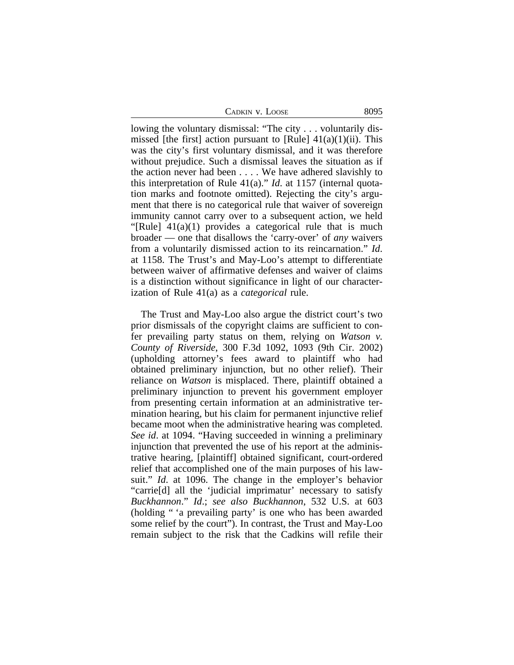CADKIN V. LOOSE 8095

lowing the voluntary dismissal: "The city . . . voluntarily dismissed [the first] action pursuant to [Rule]  $41(a)(1)(ii)$ . This was the city's first voluntary dismissal, and it was therefore without prejudice. Such a dismissal leaves the situation as if the action never had been . . . . We have adhered slavishly to this interpretation of Rule 41(a)." *Id*. at 1157 (internal quotation marks and footnote omitted). Rejecting the city's argument that there is no categorical rule that waiver of sovereign immunity cannot carry over to a subsequent action, we held "[Rule]  $41(a)(1)$  provides a categorical rule that is much broader — one that disallows the 'carry-over' of *any* waivers from a voluntarily dismissed action to its reincarnation." *Id*. at 1158. The Trust's and May-Loo's attempt to differentiate between waiver of affirmative defenses and waiver of claims is a distinction without significance in light of our characterization of Rule 41(a) as a *categorical* rule.

The Trust and May-Loo also argue the district court's two prior dismissals of the copyright claims are sufficient to confer prevailing party status on them, relying on *Watson v. County of Riverside*, 300 F.3d 1092, 1093 (9th Cir. 2002) (upholding attorney's fees award to plaintiff who had obtained preliminary injunction, but no other relief). Their reliance on *Watson* is misplaced. There, plaintiff obtained a preliminary injunction to prevent his government employer from presenting certain information at an administrative termination hearing, but his claim for permanent injunctive relief became moot when the administrative hearing was completed. *See id*. at 1094. "Having succeeded in winning a preliminary injunction that prevented the use of his report at the administrative hearing, [plaintiff] obtained significant, court-ordered relief that accomplished one of the main purposes of his lawsuit." *Id*. at 1096. The change in the employer's behavior "carrie[d] all the 'judicial imprimatur' necessary to satisfy *Buckhannon*." *Id*.; *see also Buckhannon*, 532 U.S. at 603 (holding " 'a prevailing party' is one who has been awarded some relief by the court"). In contrast, the Trust and May-Loo remain subject to the risk that the Cadkins will refile their